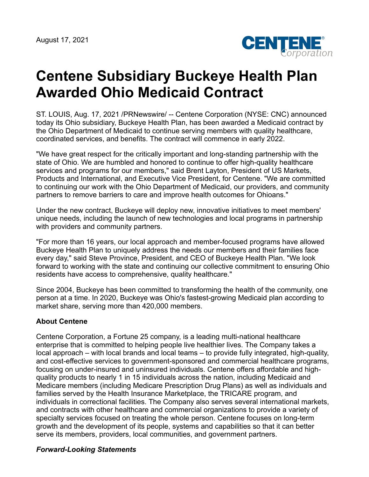August 17, 2021



## **Centene Subsidiary Buckeye Health Plan Awarded Ohio Medicaid Contract**

ST. LOUIS, Aug. 17, 2021 /PRNewswire/ -- Centene Corporation (NYSE: CNC) announced today its Ohio subsidiary, Buckeye Health Plan, has been awarded a Medicaid contract by the Ohio Department of Medicaid to continue serving members with quality healthcare, coordinated services, and benefits. The contract will commence in early 2022.

"We have great respect for the critically important and long-standing partnership with the state of Ohio. We are humbled and honored to continue to offer high-quality healthcare services and programs for our members," said Brent Layton, President of US Markets, Products and International, and Executive Vice President, for Centene. "We are committed to continuing our work with the Ohio Department of Medicaid, our providers, and community partners to remove barriers to care and improve health outcomes for Ohioans."

Under the new contract, Buckeye will deploy new, innovative initiatives to meet members' unique needs, including the launch of new technologies and local programs in partnership with providers and community partners.

"For more than 16 years, our local approach and member-focused programs have allowed Buckeye Health Plan to uniquely address the needs our members and their families face every day," said Steve Province, President, and CEO of Buckeye Health Plan. "We look forward to working with the state and continuing our collective commitment to ensuring Ohio residents have access to comprehensive, quality healthcare."

Since 2004, Buckeye has been committed to transforming the health of the community, one person at a time. In 2020, Buckeye was Ohio's fastest-growing Medicaid plan according to market share, serving more than 420,000 members.

## **About Centene**

Centene Corporation, a Fortune 25 company, is a leading multi-national healthcare enterprise that is committed to helping people live healthier lives. The Company takes a local approach – with local brands and local teams – to provide fully integrated, high-quality, and cost-effective services to government-sponsored and commercial healthcare programs, focusing on under-insured and uninsured individuals. Centene offers affordable and highquality products to nearly 1 in 15 individuals across the nation, including Medicaid and Medicare members (including Medicare Prescription Drug Plans) as well as individuals and families served by the Health Insurance Marketplace, the TRICARE program, and individuals in correctional facilities. The Company also serves several international markets, and contracts with other healthcare and commercial organizations to provide a variety of specialty services focused on treating the whole person. Centene focuses on long-term growth and the development of its people, systems and capabilities so that it can better serve its members, providers, local communities, and government partners.

## *Forward-Looking Statements*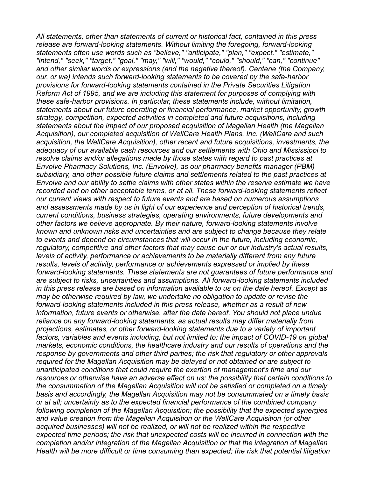*All statements, other than statements of current or historical fact, contained in this press release are forward-looking statements. Without limiting the foregoing, forward-looking statements often use words such as "believe," "anticipate," "plan," "expect," "estimate," "intend," "seek," "target," "goal," "may," "will," "would," "could," "should," "can," "continue" and other similar words or expressions (and the negative thereof). Centene (the Company, our, or we) intends such forward-looking statements to be covered by the safe-harbor provisions for forward-looking statements contained in the Private Securities Litigation Reform Act of 1995, and we are including this statement for purposes of complying with these safe-harbor provisions. In particular, these statements include, without limitation, statements about our future operating or financial performance, market opportunity, growth strategy, competition, expected activities in completed and future acquisitions, including statements about the impact of our proposed acquisition of Magellan Health (the Magellan Acquisition), our completed acquisition of WellCare Health Plans, Inc. (WellCare and such acquisition, the WellCare Acquisition), other recent and future acquisitions, investments, the adequacy of our available cash resources and our settlements with Ohio and Mississippi to resolve claims and/or allegations made by those states with regard to past practices at Envolve Pharmacy Solutions, Inc. (Envolve), as our pharmacy benefits manager (PBM) subsidiary, and other possible future claims and settlements related to the past practices at Envolve and our ability to settle claims with other states within the reserve estimate we have recorded and on other acceptable terms, or at all. These forward-looking statements reflect our current views with respect to future events and are based on numerous assumptions and assessments made by us in light of our experience and perception of historical trends, current conditions, business strategies, operating environments, future developments and other factors we believe appropriate. By their nature, forward-looking statements involve known and unknown risks and uncertainties and are subject to change because they relate to events and depend on circumstances that will occur in the future, including economic, regulatory, competitive and other factors that may cause our or our industry's actual results, levels of activity, performance or achievements to be materially different from any future results, levels of activity, performance or achievements expressed or implied by these forward-looking statements. These statements are not guarantees of future performance and are subject to risks, uncertainties and assumptions. All forward-looking statements included in this press release are based on information available to us on the date hereof. Except as may be otherwise required by law, we undertake no obligation to update or revise the forward-looking statements included in this press release, whether as a result of new information, future events or otherwise, after the date hereof. You should not place undue reliance on any forward-looking statements, as actual results may differ materially from projections, estimates, or other forward-looking statements due to a variety of important factors, variables and events including, but not limited to: the impact of COVID-19 on global markets, economic conditions, the healthcare industry and our results of operations and the response by governments and other third parties; the risk that regulatory or other approvals required for the Magellan Acquisition may be delayed or not obtained or are subject to unanticipated conditions that could require the exertion of management's time and our resources or otherwise have an adverse effect on us; the possibility that certain conditions to the consummation of the Magellan Acquisition will not be satisfied or completed on a timely basis and accordingly, the Magellan Acquisition may not be consummated on a timely basis or at all; uncertainty as to the expected financial performance of the combined company following completion of the Magellan Acquisition; the possibility that the expected synergies and value creation from the Magellan Acquisition or the WellCare Acquisition (or other acquired businesses) will not be realized, or will not be realized within the respective expected time periods; the risk that unexpected costs will be incurred in connection with the completion and/or integration of the Magellan Acquisition or that the integration of Magellan Health will be more difficult or time consuming than expected; the risk that potential litigation*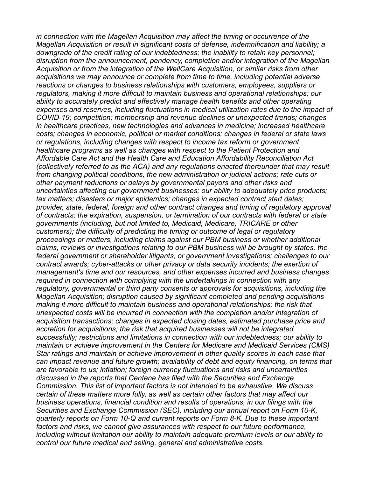*in connection with the Magellan Acquisition may affect the timing or occurrence of the Magellan Acquisition or result in significant costs of defense, indemnification and liability; a downgrade of the credit rating of our indebtedness; the inability to retain key personnel; disruption from the announcement, pendency, completion and/or integration of the Magellan Acquisition or from the integration of the WellCare Acquisition, or similar risks from other acquisitions we may announce or complete from time to time, including potential adverse reactions or changes to business relationships with customers, employees, suppliers or regulators, making it more difficult to maintain business and operational relationships; our ability to accurately predict and effectively manage health benefits and other operating expenses and reserves, including fluctuations in medical utilization rates due to the impact of COVID-19; competition; membership and revenue declines or unexpected trends; changes in healthcare practices, new technologies and advances in medicine; increased healthcare costs; changes in economic, political or market conditions; changes in federal or state laws or regulations, including changes with respect to income tax reform or government healthcare programs as well as changes with respect to the Patient Protection and Affordable Care Act and the Health Care and Education Affordability Reconciliation Act (collectively referred to as the ACA) and any regulations enacted thereunder that may result from changing political conditions, the new administration or judicial actions; rate cuts or other payment reductions or delays by governmental payors and other risks and uncertainties affecting our government businesses; our ability to adequately price products; tax matters; disasters or major epidemics; changes in expected contract start dates; provider, state, federal, foreign and other contract changes and timing of regulatory approval of contracts; the expiration, suspension, or termination of our contracts with federal or state governments (including, but not limited to, Medicaid, Medicare, TRICARE or other customers); the difficulty of predicting the timing or outcome of legal or regulatory proceedings or matters, including claims against our PBM business or whether additional claims, reviews or investigations relating to our PBM business will be brought by states, the federal government or shareholder litigants, or government investigations; challenges to our contract awards; cyber-attacks or other privacy or data security incidents; the exertion of management's time and our resources, and other expenses incurred and business changes required in connection with complying with the undertakings in connection with any regulatory, governmental or third party consents or approvals for acquisitions, including the Magellan Acquisition; disruption caused by significant completed and pending acquisitions making it more difficult to maintain business and operational relationships; the risk that unexpected costs will be incurred in connection with the completion and/or integration of acquisition transactions; changes in expected closing dates, estimated purchase price and accretion for acquisitions; the risk that acquired businesses will not be integrated successfully; restrictions and limitations in connection with our indebtedness; our ability to maintain or achieve improvement in the Centers for Medicare and Medicaid Services (CMS) Star ratings and maintain or achieve improvement in other quality scores in each case that can impact revenue and future growth; availability of debt and equity financing, on terms that are favorable to us; inflation; foreign currency fluctuations and risks and uncertainties discussed in the reports that Centene has filed with the Securities and Exchange Commission. This list of important factors is not intended to be exhaustive. We discuss certain of these matters more fully, as well as certain other factors that may affect our business operations, financial condition and results of operations, in our filings with the Securities and Exchange Commission (SEC), including our annual report on Form 10-K, quarterly reports on Form 10-Q and current reports on Form 8-K. Due to these important factors and risks, we cannot give assurances with respect to our future performance, including without limitation our ability to maintain adequate premium levels or our ability to control our future medical and selling, general and administrative costs.*